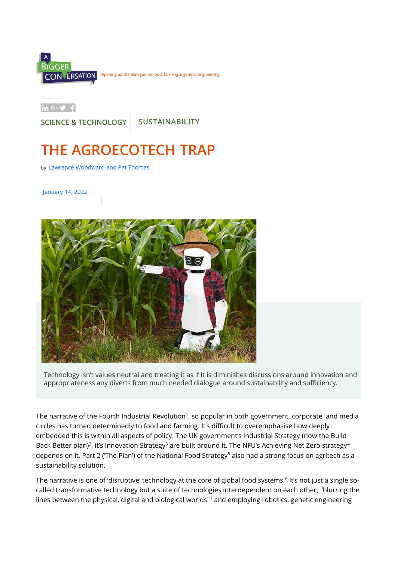

 $\ln G \cdot 9$  f

**SCIENCE & TECHNOLOGY** 

**SUSTAINABILITY** 

# **THE AGROECOTECH TRAP**

by Lawrence Woodward and Pat Thomas

January 14, 2022



Technology isn't values neutral and treating it as if it is diminishes discussions around innovation and appropriateness any diverts from much needed dialogue around sustainability and sufficiency.

The narrative of the Fourth Industrial Revolution<sup>1</sup>, so popular in both government, corporate, and media circles has turned determinedly to food and farming. It's difficult to overemphasise how deeply embedded this is within all aspects of policy. The UK government's Industrial Strategy (now the Build Back Better plan)<sup>2</sup>, it's Innovation Strategy<sup>3</sup> are built around it. The NFU's Achieving Net Zero strategy<sup>4</sup> depends on it. Part 2 ('The Plan') of the National Food Strategy<sup>5</sup> also had a strong focus on agritech as a sustainability solution.

The narrative is one of 'disruptive' technology at the core of global food systems.<sup>6</sup> It's not just a single socalled transformative technology but a suite of technologies interdependent on each other, "blurring the lines between the physical, digital and biological worlds"<sup>7</sup> and employing robotics, genetic engineering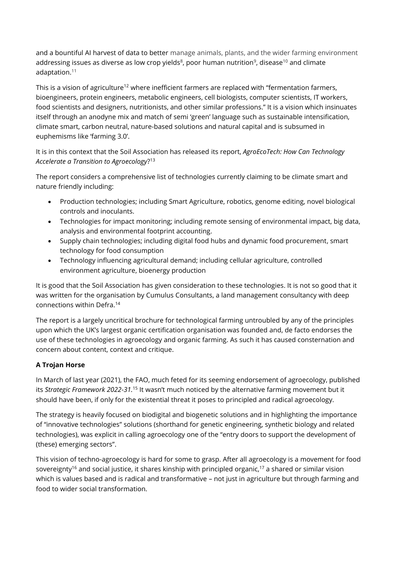and a bountiful AI harvest of data to better manage animals, plants, and the wider farming environment addressing issues as diverse as low crop yields ${}^{8}$ , poor human nutrition ${}^{9}$ , disease ${}^{10}$  and climate adaptation.<sup>11</sup>

This is a vision of agriculture<sup>12</sup> where inefficient farmers are replaced with "fermentation farmers, bioengineers, protein engineers, metabolic engineers, cell biologists, computer scientists, IT workers, food scientists and designers, nutritionists, and other similar professions." It is a vision which insinuates itself through an anodyne mix and match of semi 'green' language such as sustainable intensification, climate smart, carbon neutral, nature-based solutions and natural capital and is subsumed in euphemisms like 'farming 3.0'.

It is in this context that the Soil Association has released its report, *AgroEcoTech: How Can Technology Accelerate a Transition to Agroecology*? 13

The report considers a comprehensive list of technologies currently claiming to be climate smart and nature friendly including:

- Production technologies; including Smart Agriculture, robotics, genome editing, novel biological controls and inoculants.
- Technologies for impact monitoring; including remote sensing of environmental impact, big data, analysis and environmental footprint accounting.
- Supply chain technologies; including digital food hubs and dynamic food procurement, smart technology for food consumption
- Technology influencing agricultural demand; including cellular agriculture, controlled environment agriculture, bioenergy production

It is good that the Soil Association has given consideration to these technologies. It is not so good that it was written for the organisation by Cumulus Consultants, a land management consultancy with deep connections within Defra. 14

The report is a largely uncritical brochure for technological farming untroubled by any of the principles upon which the UK's largest organic certification organisation was founded and, de facto endorses the use of these technologies in agroecology and organic farming. As such it has caused consternation and concern about content, context and critique.

## **A Trojan Horse**

In March of last year (2021), the FAO, much feted for its seeming endorsement of agroecology, published its *Strategic Framework 2022-31.*<sup>15</sup> It wasn't much noticed by the alternative farming movement but it should have been, if only for the existential threat it poses to principled and radical agroecology.

The strategy is heavily focused on biodigital and biogenetic solutions and in highlighting the importance of "innovative technologies" solutions (shorthand for genetic engineering, synthetic biology and related technologies), was explicit in calling agroecology one of the "entry doors to support the development of (these) emerging sectors".

This vision of techno-agroecology is hard for some to grasp. After all agroecology is a movement for food sovereignty<sup>16</sup> and social justice, it shares kinship with principled organic,<sup>17</sup> a shared or similar vision which is values based and is radical and transformative – not just in agriculture but through farming and food to wider social transformation.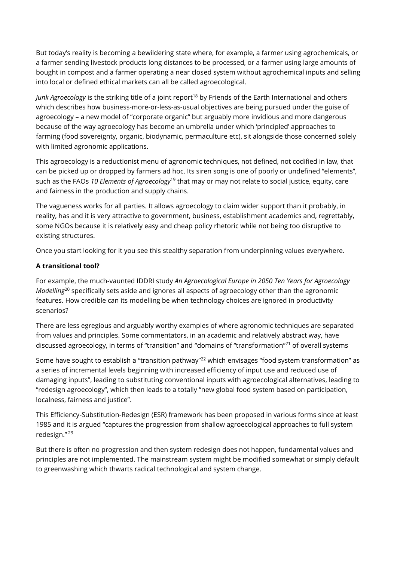But today's reality is becoming a bewildering state where, for example, a farmer using agrochemicals, or a farmer sending livestock products long distances to be processed, or a farmer using large amounts of bought in compost and a farmer operating a near closed system without agrochemical inputs and selling into local or defined ethical markets can all be called agroecological.

*Junk Agroecology* is the striking title of a joint report<sup>18</sup> by Friends of the Earth International and others which describes how business-more-or-less-as-usual objectives are being pursued under the guise of agroecology – a new model of "corporate organic" but arguably more invidious and more dangerous because of the way agroecology has become an umbrella under which 'principled' approaches to farming (food sovereignty, organic, biodynamic, permaculture etc), sit alongside those concerned solely with limited agronomic applications.

This agroecology is a reductionist menu of agronomic techniques, not defined, not codified in law, that can be picked up or dropped by farmers ad hoc. Its siren song is one of poorly or undefined "elements", such as the FAOs *10 Elements of Agroecology*<sup>19</sup> that may or may not relate to social justice, equity, care and fairness in the production and supply chains.

The vagueness works for all parties. It allows agroecology to claim wider support than it probably, in reality, has and it is very attractive to government, business, establishment academics and, regrettably, some NGOs because it is relatively easy and cheap policy rhetoric while not being too disruptive to existing structures.

Once you start looking for it you see this stealthy separation from underpinning values everywhere.

## **A transitional tool?**

For example, the much-vaunted IDDRI study *An Agroecological Europe in 2050 Ten Years for Agroecology Modelling*<sup>20</sup> specifically sets aside and ignores all aspects of agroecology other than the agronomic features. How credible can its modelling be when technology choices are ignored in productivity scenarios?

There are less egregious and arguably worthy examples of where agronomic techniques are separated from values and principles. Some commentators, in an academic and relatively abstract way, have discussed agroecology, in terms of "transition" and "domains of "transformation"<sup>21</sup> of overall systems

Some have sought to establish a "transition pathway"<sup>22</sup> which envisages "food system transformation" as a series of incremental levels beginning with increased efficiency of input use and reduced use of damaging inputs", leading to substituting conventional inputs with agroecological alternatives, leading to "redesign agroecology", which then leads to a totally "new global food system based on participation, localness, fairness and justice".

This Efficiency-Substitution-Redesign (ESR) framework has been proposed in various forms since at least 1985 and it is argued "captures the progression from shallow agroecological approaches to full system redesign." <sup>23</sup>

But there is often no progression and then system redesign does not happen, fundamental values and principles are not implemented. The mainstream system might be modified somewhat or simply default to greenwashing which thwarts radical technological and system change.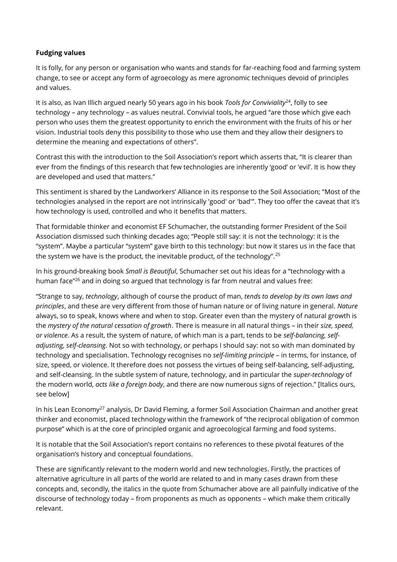## **Fudging values**

It is folly, for any person or organisation who wants and stands for far-reaching food and farming system change, to see or accept any form of agroecology as mere agronomic techniques devoid of principles and values.

It is also, as Ivan Illich argued nearly 50 years ago in his book *Tools for Conviviality<sup>24</sup>*, folly to see technology – any technology – as values neutral. Convivial tools, he argued "are those which give each person who uses them the greatest opportunity to enrich the environment with the fruits of his or her vision. Industrial tools deny this possibility to those who use them and they allow their designers to determine the meaning and expectations of others".

Contrast this with the introduction to the Soil Association's report which asserts that, "It is clearer than ever from the findings of this research that few technologies are inherently 'good' or 'evil'. It is how they are developed and used that matters."

This sentiment is shared by the Landworkers' Alliance in its response to the Soil Association; "Most of the technologies analysed in the report are not intrinsically 'good' or 'bad'". They too offer the caveat that it's how technology is used, controlled and who it benefits that matters.

That formidable thinker and economist EF Schumacher, the outstanding former President of the Soil Association dismissed such thinking decades ago; "People still say: it is not the technology: it is the "system". Maybe a particular "system" gave birth to this technology: but now it stares us in the face that the system we have is the product, the inevitable product, of the technology".<sup>25</sup>

In his ground-breaking book *Small is Beautiful*, Schumacher set out his ideas for a "technology with a human face"<sup>26</sup> and in doing so argued that technology is far from neutral and values free:

"Strange to say, *technology*, although of course the product of man, *tends to develop by its own laws and principles*, and these are very different from those of human nature or of living nature in general. *Nature* always, so to speak, knows where and when to stop. Greater even than the mystery of natural growth is the *mystery of the natural cessation of growth*. There is measure in all natural things – in their *size, speed, or violence*. As a result, the system of nature, of which man is a part, tends to be *self-balancing, selfadjusting, self-cleansing*. Not so with technology, or perhaps I should say: not so with man dominated by technology and specialisation. Technology recognises no *self-limiting principle* – in terms, for instance, of size, speed, or violence. It therefore does not possess the virtues of being self-balancing, self-adjusting, and self-cleansing. In the subtle system of nature, technology, and in particular the *super-technology* of the modern world, *acts like a foreign body*, and there are now numerous signs of rejection." [Italics ours, see below]

In his Lean Economy<sup>27</sup> analysis, Dr David Fleming, a former Soil Association Chairman and another great thinker and economist, placed technology within the framework of "the reciprocal obligation of common purpose" which is at the core of principled organic and agroecological farming and food systems.

It is notable that the Soil Association's report contains no references to these pivotal features of the organisation's history and conceptual foundations.

These are significantly relevant to the modern world and new technologies. Firstly, the practices of alternative agriculture in all parts of the world are related to and in many cases drawn from these concepts and, secondly, the italics in the quote from Schumacher above are all painfully indicative of the discourse of technology today – from proponents as much as opponents – which make them critically relevant.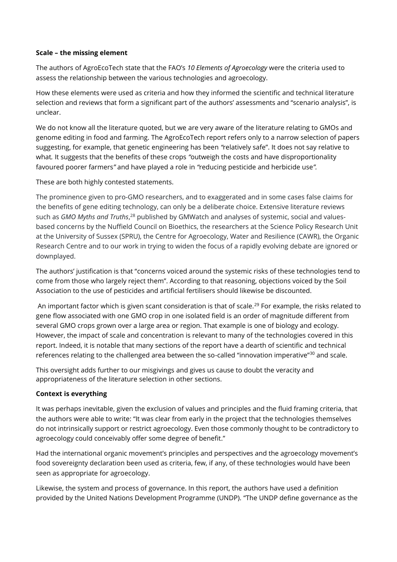### **Scale – the missing element**

The authors of AgroEcoTech state that the FAO's *10 Elements of Agroecology* were the criteria used to assess the relationship between the various technologies and agroecology.

How these elements were used as criteria and how they informed the scientific and technical literature selection and reviews that form a significant part of the authors' assessments and "scenario analysis", is unclear.

We do not know all the literature quoted, but we are very aware of the literature relating to GMOs and genome editing in food and farming. The AgroEcoTech report refers only to a narrow selection of papers suggesting, for example, that genetic engineering has been *"*relatively safe". It does not say relative to what*.* It suggests that the benefits of these crops *"*outweigh the costs and have disproportionality favoured poorer farmers*"* and have played a role in *"*reducing pesticide and herbicide use*".*

These are both highly contested statements.

The prominence given to pro-GMO researchers, and to exaggerated and in some cases false claims for the benefits of gene editing technology, can only be a deliberate choice. Extensive literature reviews such as *GMO Myths and Truths*, <sup>28</sup> published by GMWatch and analyses of systemic, social and valuesbased concerns by the Nuffield Council on Bioethics, the researchers at the Science Policy Research Unit at the University of Sussex (SPRU), the Centre for Agroecology, Water and Resilience (CAWR), the Organic Research Centre and to our work in trying to widen the focus of a rapidly evolving debate are ignored or downplayed.

The authors' justification is that "concerns voiced around the systemic risks of these technologies tend to come from those who largely reject them". According to that reasoning, objections voiced by the Soil Association to the use of pesticides and artificial fertilisers should likewise be discounted.

An important factor which is given scant consideration is that of scale.<sup>29</sup> For example, the risks related to gene flow associated with one GMO crop in one isolated field is an order of magnitude different from several GMO crops grown over a large area or region. That example is one of biology and ecology. However, the impact of scale and concentration is relevant to many of the technologies covered in this report. Indeed, it is notable that many sections of the report have a dearth of scientific and technical references relating to the challenged area between the so-called "innovation imperative"<sup>30</sup> and scale.

This oversight adds further to our misgivings and gives us cause to doubt the veracity and appropriateness of the literature selection in other sections.

### **Context is everything**

It was perhaps inevitable, given the exclusion of values and principles and the fluid framing criteria, that the authors were able to write: "It was clear from early in the project that the technologies themselves do not intrinsically support or restrict agroecology. Even those commonly thought to be contradictory to agroecology could conceivably offer some degree of benefit."

Had the international organic movement's principles and perspectives and the agroecology movement's food sovereignty declaration been used as criteria, few, if any, of these technologies would have been seen as appropriate for agroecology.

Likewise, the system and process of governance. In this report, the authors have used a definition provided by the United Nations Development Programme (UNDP). "The UNDP define governance as the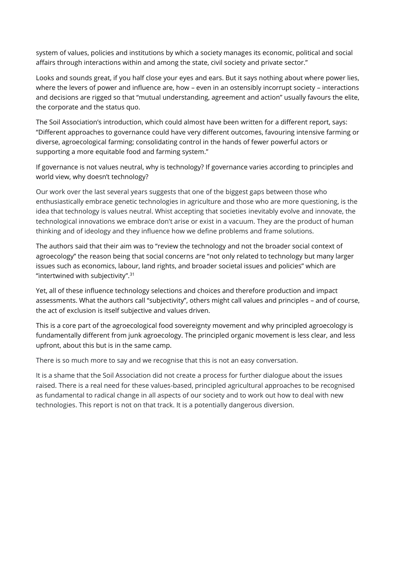system of values, policies and institutions by which a society manages its economic, political and social affairs through interactions within and among the state, civil society and private sector."

Looks and sounds great, if you half close your eyes and ears. But it says nothing about where power lies, where the levers of power and influence are, how – even in an ostensibly incorrupt society – interactions and decisions are rigged so that "mutual understanding, agreement and action" usually favours the elite, the corporate and the status quo.

The Soil Association's introduction, which could almost have been written for a different report, says: "Different approaches to governance could have very different outcomes, favouring intensive farming or diverse, agroecological farming; consolidating control in the hands of fewer powerful actors or supporting a more equitable food and farming system."

If governance is not values neutral, why is technology? If governance varies according to principles and world view, why doesn't technology?

Our work over the last several years suggests that one of the biggest gaps between those who enthusiastically embrace genetic technologies in agriculture and those who are more questioning, is the idea that technology is values neutral. Whist accepting that societies inevitably evolve and innovate, the technological innovations we embrace don't arise or exist in a vacuum. They are the product of human thinking and of ideology and they influence how we define problems and frame solutions.

The authors said that their aim was to "review the technology and not the broader social context of agroecology" the reason being that social concerns are "not only related to technology but many larger issues such as economics, labour, land rights, and broader societal issues and policies" which are "intertwined with subjectivity". 31

Yet, all of these influence technology selections and choices and therefore production and impact assessments. What the authors call "subjectivity", others might call values and principles – and of course, the act of exclusion is itself subjective and values driven.

This is a core part of the agroecological food sovereignty movement and why principled agroecology is fundamentally different from junk agroecology. The principled organic movement is less clear, and less upfront, about this but is in the same camp.

There is so much more to say and we recognise that this is not an easy conversation.

It is a shame that the Soil Association did not create a process for further dialogue about the issues raised. There is a real need for these values-based, principled agricultural approaches to be recognised as fundamental to radical change in all aspects of our society and to work out how to deal with new technologies. This report is not on that track. It is a potentially dangerous diversion.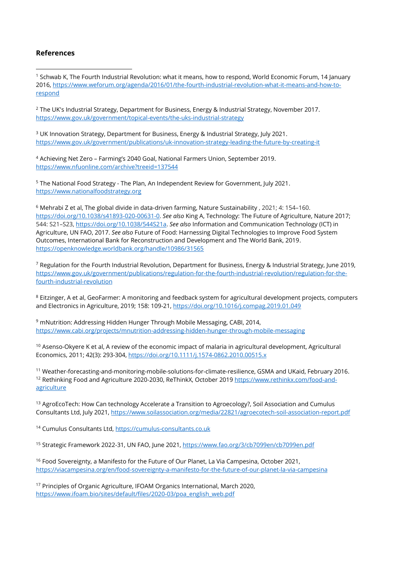### **References**

<sup>1</sup> Schwab K, The Fourth Industrial Revolution: what it means, how to respond, World Economic Forum, 14 January 2016, [https://www.weforum.org/agenda/2016/01/the-fourth-industrial-revolution-what-it-means-and-how-to](https://www.weforum.org/agenda/2016/01/the-fourth-industrial-revolution-what-it-means-and-how-to-respond)[respond](https://www.weforum.org/agenda/2016/01/the-fourth-industrial-revolution-what-it-means-and-how-to-respond)

<sup>2</sup> The UK's Industrial Strategy, Department for Business, Energy & Industrial Strategy, November 2017. <https://www.gov.uk/government/topical-events/the-uks-industrial-strategy>

<sup>3</sup> UK Innovation Strategy, Department for Business, Energy & Industrial Strategy, July 2021. <https://www.gov.uk/government/publications/uk-innovation-strategy-leading-the-future-by-creating-it>

<sup>4</sup> Achieving Net Zero – Farming's 2040 Goal, National Farmers Union, September 2019. <https://www.nfuonline.com/archive?treeid=137544>

<sup>5</sup> The National Food Strategy - The Plan, An Independent Review for Government, July 2021. [https://www.nationalfoodstrategy.org](https://www.nationalfoodstrategy.org/)

<sup>6</sup> Mehrabi Z et al, The global divide in data-driven farming, Nature Sustainability , 2021; 4: 154–160. [https://doi.org/10.1038/s41893-020-00631-0.](https://doi.org/10.1038/s41893-020-00631-0) *See also* King A, Technology: The Future of Agriculture, Nature 2017; 544: S21–S23[, https://doi.org/10.1038/544S21a.](https://doi.org/10.1038/544S21a) *See also* Information and Communication Technology (ICT) in Agriculture, UN FAO, 2017. *See also* Future of Food: Harnessing Digital Technologies to Improve Food System Outcomes, International Bank for Reconstruction and Development and The World Bank, 2019. <https://openknowledge.worldbank.org/handle/10986/31565>

<sup>7</sup> Regulation for the Fourth Industrial Revolution, Department for Business, Energy & Industrial Strategy, June 2019, [https://www.gov.uk/government/publications/regulation-for-the-fourth-industrial-revolution/regulation-for-the](https://www.gov.uk/government/publications/regulation-for-the-fourth-industrial-revolution/regulation-for-the-fourth-industrial-revolution)[fourth-industrial-revolution](https://www.gov.uk/government/publications/regulation-for-the-fourth-industrial-revolution/regulation-for-the-fourth-industrial-revolution)

<sup>8</sup> Eitzinger, A et al, GeoFarmer: A monitoring and feedback system for agricultural development projects, computers and Electronics in Agriculture, 2019; 158: 109-21[, https://doi.org/10.1016/j.compag.2019.01.049](https://doi.org/10.1016/j.compag.2019.01.049)

<sup>9</sup> mNutrition: Addressing Hidden Hunger Through Mobile Messaging, CABI, 2014, <https://www.cabi.org/projects/mnutrition-addressing-hidden-hunger-through-mobile-messaging>

<sup>10</sup> Asenso-Okyere K et al, A review of the economic impact of malaria in agricultural development, Agricultural Economics, 2011; 42(3): 293-304[, https://doi.org/10.1111/j.1574-0862.2010.00515.x](https://doi.org/10.1111/j.1574-0862.2010.00515.x)

<sup>11</sup> Weather-forecasting-and-monitoring-mobile-solutions-for-climate-resilience, GSMA and UKaid, February 2016. <sup>12</sup> Rethinking Food and Agriculture 2020-2030, ReThinkX, October 201[9 https://www.rethinkx.com/food-and](https://www.rethinkx.com/food-and-agriculture)[agriculture](https://www.rethinkx.com/food-and-agriculture)

<sup>13</sup> AgroEcoTech: How Can technology Accelerate a Transition to Agroecology?, Soil Association and Cumulus Consultants Ltd, July 2021, <https://www.soilassociation.org/media/22821/agroecotech-soil-association-report.pdf>

<sup>14</sup> Cumulus Consultants Ltd, [https://cumulus-consultants.co.uk](https://cumulus-consultants.co.uk/)

<sup>15</sup> Strategic Framework 2022-31, UN FAO, June 2021,<https://www.fao.org/3/cb7099en/cb7099en.pdf>

<sup>16</sup> Food Sovereignty, a Manifesto for the Future of Our Planet, La Via Campesina, October 2021, <https://viacampesina.org/en/food-sovereignty-a-manifesto-for-the-future-of-our-planet-la-via-campesina>

<sup>17</sup> Principles of Organic Agriculture, IFOAM Organics International, March 2020, [https://www.ifoam.bio/sites/default/files/2020-03/poa\\_english\\_web.pdf](https://www.ifoam.bio/sites/default/files/2020-03/poa_english_web.pdf)